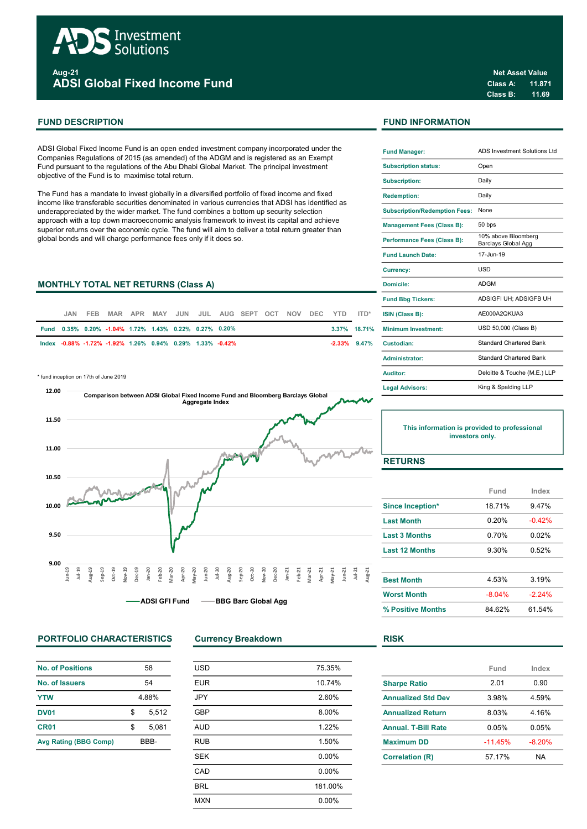

Aug-21 ADSI Global Fixed Income Fund

ADSI Global Fixed Income Fund is an open ended investment company incorporated under the Companies Regulations of 2015 (as amended) of the ADGM and is registered as an Exempt Fund pursuant to the regulations of the Abu Dhabi Global Market. The principal investment objective of the Fund is to maximise total return.

The Fund has a mandate to invest globally in a diversified portfolio of fixed income and fixed income like transferable securities denominated in various currencies that ADSI has identified as underappreciated by the wider market. The fund combines a bottom up security selection approach with a top down macroeconomic analysis framework to invest its capital and achieve superior returns over the economic cycle. The fund will aim to deliver a total return greater than global bonds and will charge performance fees only if it does so.

#### **MONTHLY TOTAL NET RETURNS (Class A)**

| JAN. |                                                           |  |  | FEB MAR APR MAY JUN JUL AUG SEPT OCT NOV DEC YTD ITD* |  |  |              | <b>ISIN (Class B):</b>     |
|------|-----------------------------------------------------------|--|--|-------------------------------------------------------|--|--|--------------|----------------------------|
|      | Fund 0.35% 0.20% -1.04% 1.72% 1.43% 0.22% 0.27% 0.20%     |  |  |                                                       |  |  | 3.37% 18.71% | <b>Minimum Investment:</b> |
|      | lndex -0.88% -1.72% -1.92% 1.26% 0.94% 0.29% 1.33% -0.42% |  |  |                                                       |  |  |              | -2.33% 9.47% Custodian:    |

\* fund inception on 17th of June 2019



# PORTFOLIO CHARACTERISTICS Currency Breakdown RISK

| <b>No. of Positions</b>      | 58          |
|------------------------------|-------------|
| No. of Issuers               | 54          |
| <b>YTW</b>                   | 4.88%       |
| <b>DV01</b>                  | \$<br>5.512 |
| CR <sub>01</sub>             | \$<br>5.081 |
| <b>Avg Rating (BBG Comp)</b> | BBB-        |

| <b>USD</b> | 75.35%  |
|------------|---------|
| <b>EUR</b> | 10.74%  |
| <b>JPY</b> | 2.60%   |
| <b>GBP</b> | 8.00%   |
| <b>AUD</b> | 1.22%   |
| <b>RUB</b> | 1.50%   |
| <b>SEK</b> | 0.00%   |
| CAD        | 0.00%   |
| <b>BRL</b> | 181.00% |
| <b>MXN</b> | 0.00%   |
|            |         |

# FUND DESCRIPTION FUND INFORMATION

| <b>Fund Manager:</b>                 | <b>ADS Investment Solutions Ltd</b>        |
|--------------------------------------|--------------------------------------------|
| <b>Subscription status:</b>          | Open                                       |
| <b>Subscription:</b>                 | Daily                                      |
| <b>Redemption:</b>                   | Daily                                      |
| <b>Subscription/Redemption Fees:</b> | None                                       |
| <b>Management Fees (Class B):</b>    | 50 bps                                     |
| Performance Fees (Class B):          | 10% above Bloomberg<br>Barclays Global Agg |
| <b>Fund Launch Date:</b>             | 17-Jun-19                                  |
| <b>Currency:</b>                     | USD                                        |
| Domicile:                            | <b>ADGM</b>                                |
| <b>Fund Bbg Tickers:</b>             | ADSIGFI UH: ADSIGFB UH                     |
| ISIN (Class B):                      | AE000A2OKUA3                               |
| <b>Minimum Investment:</b>           | USD 50,000 (Class B)                       |
| Custodian:                           | <b>Standard Chartered Bank</b>             |
| <b>Administrator:</b>                | <b>Standard Chartered Bank</b>             |
| <b>Auditor:</b>                      | Deloitte & Touche (M.E.) LLP               |
| <b>Legal Advisors:</b>               | King & Spalding LLP                        |

#### This information is provided to professional investors only.

# **RETURNS**

|                         | Fund     | Index    |
|-------------------------|----------|----------|
| <b>Since Inception*</b> | 18 71%   | 9.47%    |
| <b>Last Month</b>       | 0.20%    | $-0.42%$ |
| <b>Last 3 Months</b>    | 0.70%    | 0 02%    |
| <b>Last 12 Months</b>   | 9.30%    | 0.52%    |
|                         |          |          |
| <b>Best Month</b>       | 4.53%    | 3.19%    |
| <b>Worst Month</b>      | $-8.04%$ | $-2.24%$ |
| % Positive Months       | 84 62%   | 61.54%   |

|                            | Fund     | Index     |
|----------------------------|----------|-----------|
| <b>Sharpe Ratio</b>        | 201      | 0.90      |
| <b>Annualized Std Dev</b>  | 3.98%    | 4.59%     |
| <b>Annualized Return</b>   | 8.03%    | 4.16%     |
| <b>Annual, T-Bill Rate</b> | 0.05%    | 0.05%     |
| <b>Maximum DD</b>          | $-1145%$ | $-8.20%$  |
| <b>Correlation (R)</b>     | 57 17%   | <b>NA</b> |